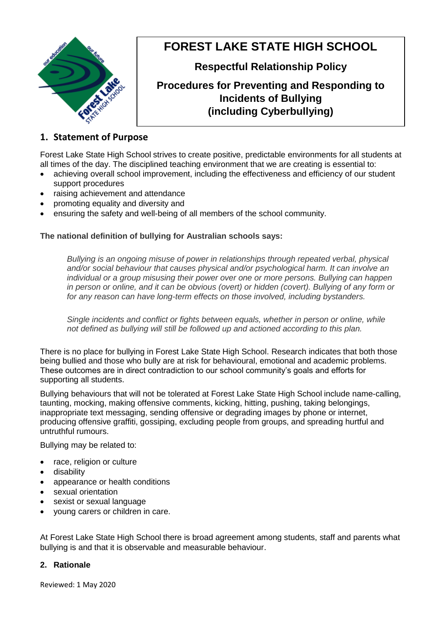

# **FOREST LAKE STATE HIGH SCHOOL**

**Respectful Relationship Policy**

## **Procedures for Preventing and Responding to Incidents of Bullying (including Cyberbullying)**

### **1. Statement of Purpose**

Forest Lake State High School strives to create positive, predictable environments for all students at all times of the day. The disciplined teaching environment that we are creating is essential to:

- achieving overall school improvement, including the effectiveness and efficiency of our student support procedures
- raising achievement and attendance
- promoting equality and diversity and
- ensuring the safety and well-being of all members of the school community.

#### **The national definition of bullying for Australian schools says:**

*Bullying is an ongoing misuse of power in relationships through repeated verbal, physical and/or social behaviour that causes physical and/or psychological harm. It can involve an individual or a group misusing their power over one or more persons. Bullying can happen in person or online, and it can be obvious (overt) or hidden (covert). Bullying of any form or for any reason can have long-term effects on those involved, including bystanders.*

*Single incidents and conflict or fights between equals, whether in person or online, while not defined as bullying will still be followed up and actioned according to this plan.*

There is no place for bullying in Forest Lake State High School. Research indicates that both those being bullied and those who bully are at risk for behavioural, emotional and academic problems. These outcomes are in direct contradiction to our school community's goals and efforts for supporting all students.

Bullying behaviours that will not be tolerated at Forest Lake State High School include name-calling, taunting, mocking, making offensive comments, kicking, hitting, pushing, taking belongings, inappropriate text messaging, sending offensive or degrading images by phone or internet, producing offensive graffiti, gossiping, excluding people from groups, and spreading hurtful and untruthful rumours.

Bullying may be related to:

- race, religion or culture
- disability
- appearance or health conditions
- sexual orientation
- sexist or sexual language
- young carers or children in care.

At Forest Lake State High School there is broad agreement among students, staff and parents what bullying is and that it is observable and measurable behaviour.

#### **2. Rationale**

Reviewed: 1 May 2020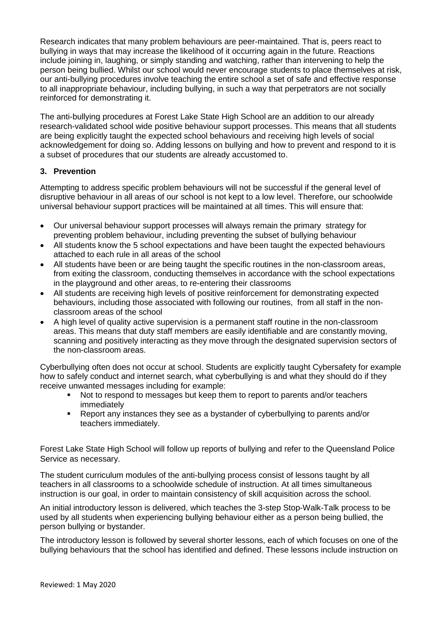Research indicates that many problem behaviours are peer-maintained. That is, peers react to bullying in ways that may increase the likelihood of it occurring again in the future. Reactions include joining in, laughing, or simply standing and watching, rather than intervening to help the person being bullied. Whilst our school would never encourage students to place themselves at risk, our anti-bullying procedures involve teaching the entire school a set of safe and effective response to all inappropriate behaviour, including bullying, in such a way that perpetrators are not socially reinforced for demonstrating it.

The anti-bullying procedures at Forest Lake State High School are an addition to our already research-validated school wide positive behaviour support processes. This means that all students are being explicitly taught the expected school behaviours and receiving high levels of social acknowledgement for doing so. Adding lessons on bullying and how to prevent and respond to it is a subset of procedures that our students are already accustomed to.

#### **3. Prevention**

Attempting to address specific problem behaviours will not be successful if the general level of disruptive behaviour in all areas of our school is not kept to a low level. Therefore, our schoolwide universal behaviour support practices will be maintained at all times. This will ensure that:

- Our universal behaviour support processes will always remain the primary strategy for preventing problem behaviour, including preventing the subset of bullying behaviour
- All students know the 5 school expectations and have been taught the expected behaviours attached to each rule in all areas of the school
- All students have been or are being taught the specific routines in the non-classroom areas, from exiting the classroom, conducting themselves in accordance with the school expectations in the playground and other areas, to re-entering their classrooms
- All students are receiving high levels of positive reinforcement for demonstrating expected behaviours, including those associated with following our routines, from all staff in the nonclassroom areas of the school
- A high level of quality active supervision is a permanent staff routine in the non-classroom areas. This means that duty staff members are easily identifiable and are constantly moving, scanning and positively interacting as they move through the designated supervision sectors of the non-classroom areas.

Cyberbullying often does not occur at school. Students are explicitly taught Cybersafety for example how to safely conduct and internet search, what cyberbullying is and what they should do if they receive unwanted messages including for example:

- Not to respond to messages but keep them to report to parents and/or teachers immediately
- Report any instances they see as a bystander of cyberbullying to parents and/or teachers immediately.

Forest Lake State High School will follow up reports of bullying and refer to the Queensland Police Service as necessary.

The student curriculum modules of the anti-bullying process consist of lessons taught by all teachers in all classrooms to a schoolwide schedule of instruction. At all times simultaneous instruction is our goal, in order to maintain consistency of skill acquisition across the school.

An initial introductory lesson is delivered, which teaches the 3-step Stop-Walk-Talk process to be used by all students when experiencing bullying behaviour either as a person being bullied, the person bullying or bystander.

The introductory lesson is followed by several shorter lessons, each of which focuses on one of the bullying behaviours that the school has identified and defined. These lessons include instruction on